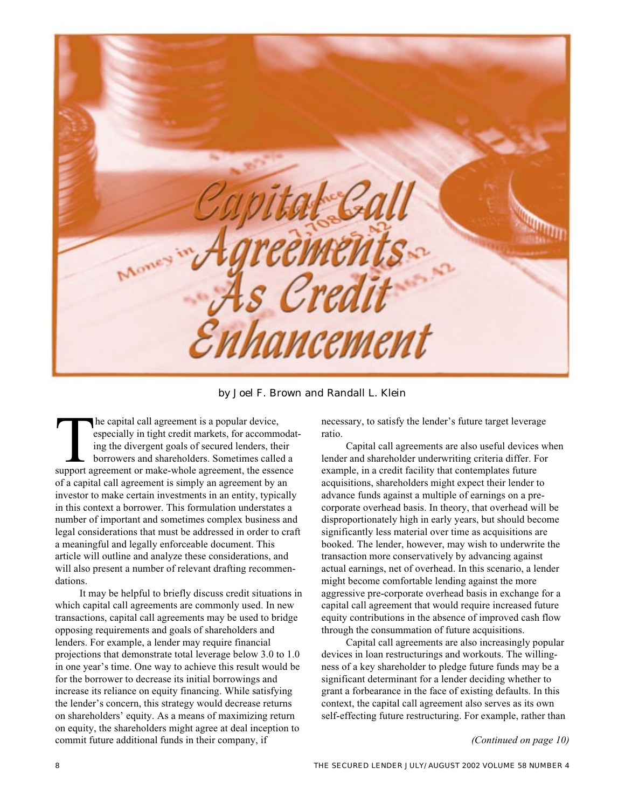

by Joel F. Brown and Randall L. Klein

The capital call agreement is a popular device,<br>
especially in tight credit markets, for accommoda<br>
ing the divergent goals of secured lenders, their<br>
borrowers and shareholders. Sometimes called a<br>
support agreement or ma especially in tight credit markets, for accommodating the divergent goals of secured lenders, their borrowers and shareholders. Sometimes called a of a capital call agreement is simply an agreement by an investor to make certain investments in an entity, typically in this context a borrower. This formulation understates a number of important and sometimes complex business and legal considerations that must be addressed in order to craft a meaningful and legally enforceable document. This article will outline and analyze these considerations, and will also present a number of relevant drafting recommendations.

It may be helpful to briefly discuss credit situations in which capital call agreements are commonly used. In new transactions, capital call agreements may be used to bridge opposing requirements and goals of shareholders and lenders. For example, a lender may require financial projections that demonstrate total leverage below 3.0 to 1.0 in one year's time. One way to achieve this result would be for the borrower to decrease its initial borrowings and increase its reliance on equity financing. While satisfying the lender's concern, this strategy would decrease returns on shareholders' equity. As a means of maximizing return on equity, the shareholders might agree at deal inception to commit future additional funds in their company, if

necessary, to satisfy the lender's future target leverage ratio.

Capital call agreements are also useful devices when lender and shareholder underwriting criteria differ. For example, in a credit facility that contemplates future acquisitions, shareholders might expect their lender to advance funds against a multiple of earnings on a precorporate overhead basis. In theory, that overhead will be disproportionately high in early years, but should become significantly less material over time as acquisitions are booked. The lender, however, may wish to underwrite the transaction more conservatively by advancing against actual earnings, net of overhead. In this scenario, a lender might become comfortable lending against the more aggressive pre-corporate overhead basis in exchange for a capital call agreement that would require increased future equity contributions in the absence of improved cash flow through the consummation of future acquisitions.

Capital call agreements are also increasingly popular devices in loan restructurings and workouts. The willingness of a key shareholder to pledge future funds may be a significant determinant for a lender deciding whether to grant a forbearance in the face of existing defaults. In this context, the capital call agreement also serves as its own self-effecting future restructuring. For example, rather than

*(Continued on page 10)*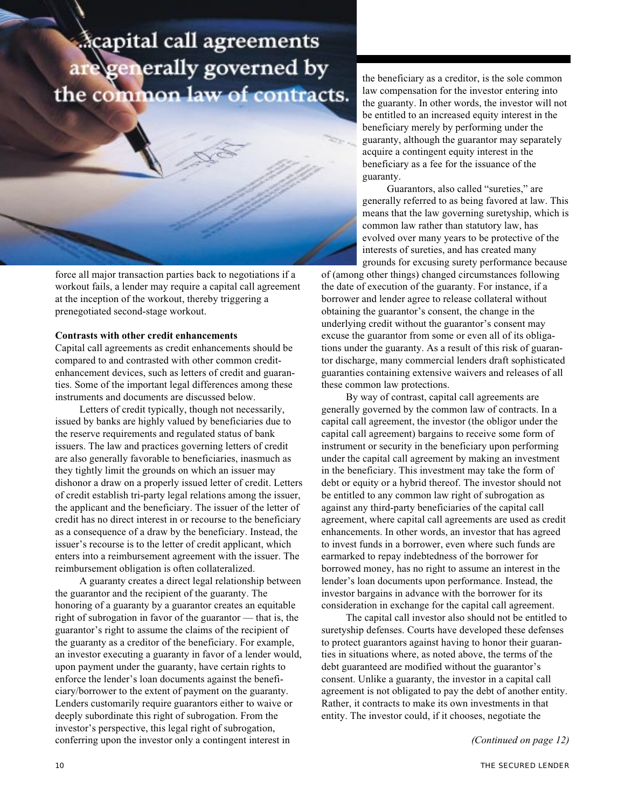# capital call agreements generally governed by the common law of contracts.



force all major transaction parties back to negotiations if a workout fails, a lender may require a capital call agreement at the inception of the workout, thereby triggering a prenegotiated second-stage workout.

### **Contrasts with other credit enhancements**

Capital call agreements as credit enhancements should be compared to and contrasted with other common creditenhancement devices, such as letters of credit and guaranties. Some of the important legal differences among these instruments and documents are discussed below.

Letters of credit typically, though not necessarily, issued by banks are highly valued by beneficiaries due to the reserve requirements and regulated status of bank issuers. The law and practices governing letters of credit are also generally favorable to beneficiaries, inasmuch as they tightly limit the grounds on which an issuer may dishonor a draw on a properly issued letter of credit. Letters of credit establish tri-party legal relations among the issuer, the applicant and the beneficiary. The issuer of the letter of credit has no direct interest in or recourse to the beneficiary as a consequence of a draw by the beneficiary. Instead, the issuer's recourse is to the letter of credit applicant, which enters into a reimbursement agreement with the issuer. The reimbursement obligation is often collateralized.

A guaranty creates a direct legal relationship between the guarantor and the recipient of the guaranty. The honoring of a guaranty by a guarantor creates an equitable right of subrogation in favor of the guarantor — that is, the guarantor's right to assume the claims of the recipient of the guaranty as a creditor of the beneficiary. For example, an investor executing a guaranty in favor of a lender would, upon payment under the guaranty, have certain rights to enforce the lender's loan documents against the beneficiary/borrower to the extent of payment on the guaranty. Lenders customarily require guarantors either to waive or deeply subordinate this right of subrogation. From the investor's perspective, this legal right of subrogation, conferring upon the investor only a contingent interest in

the beneficiary as a creditor, is the sole common law compensation for the investor entering into the guaranty. In other words, the investor will not be entitled to an increased equity interest in the beneficiary merely by performing under the guaranty, although the guarantor may separately acquire a contingent equity interest in the beneficiary as a fee for the issuance of the guaranty.

Guarantors, also called "sureties," are generally referred to as being favored at law. This means that the law governing suretyship, which is common law rather than statutory law, has evolved over many years to be protective of the interests of sureties, and has created many grounds for excusing surety performance because

of (among other things) changed circumstances following the date of execution of the guaranty. For instance, if a borrower and lender agree to release collateral without obtaining the guarantor's consent, the change in the underlying credit without the guarantor's consent may excuse the guarantor from some or even all of its obligations under the guaranty. As a result of this risk of guarantor discharge, many commercial lenders draft sophisticated guaranties containing extensive waivers and releases of all these common law protections.

By way of contrast, capital call agreements are generally governed by the common law of contracts. In a capital call agreement, the investor (the obligor under the capital call agreement) bargains to receive some form of instrument or security in the beneficiary upon performing under the capital call agreement by making an investment in the beneficiary. This investment may take the form of debt or equity or a hybrid thereof. The investor should not be entitled to any common law right of subrogation as against any third-party beneficiaries of the capital call agreement, where capital call agreements are used as credit enhancements. In other words, an investor that has agreed to invest funds in a borrower, even where such funds are earmarked to repay indebtedness of the borrower for borrowed money, has no right to assume an interest in the lender's loan documents upon performance. Instead, the investor bargains in advance with the borrower for its consideration in exchange for the capital call agreement.

The capital call investor also should not be entitled to suretyship defenses. Courts have developed these defenses to protect guarantors against having to honor their guaranties in situations where, as noted above, the terms of the debt guaranteed are modified without the guarantor's consent. Unlike a guaranty, the investor in a capital call agreement is not obligated to pay the debt of another entity. Rather, it contracts to make its own investments in that entity. The investor could, if it chooses, negotiate the

*(Continued on page 12)*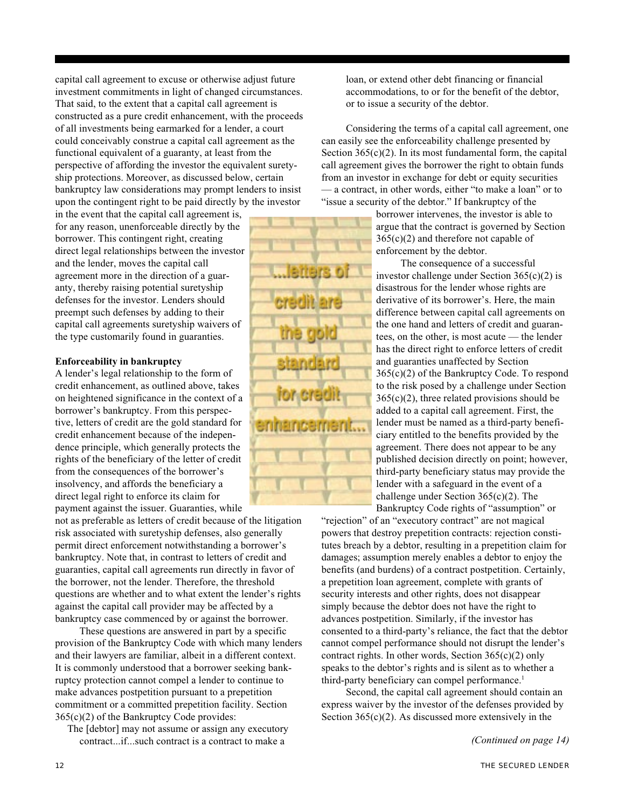capital call agreement to excuse or otherwise adjust future investment commitments in light of changed circumstances. That said, to the extent that a capital call agreement is constructed as a pure credit enhancement, with the proceeds of all investments being earmarked for a lender, a court could conceivably construe a capital call agreement as the functional equivalent of a guaranty, at least from the perspective of affording the investor the equivalent suretyship protections. Moreover, as discussed below, certain bankruptcy law considerations may prompt lenders to insist upon the contingent right to be paid directly by the investor

in the event that the capital call agreement is, for any reason, unenforceable directly by the borrower. This contingent right, creating direct legal relationships between the investor and the lender, moves the capital call agreement more in the direction of a guaranty, thereby raising potential suretyship defenses for the investor. Lenders should preempt such defenses by adding to their capital call agreements suretyship waivers of the type customarily found in guaranties.

## **Enforceability in bankruptcy**

A lender's legal relationship to the form of credit enhancement, as outlined above, takes on heightened significance in the context of a borrower's bankruptcy. From this perspective, letters of credit are the gold standard for credit enhancement because of the independence principle, which generally protects the rights of the beneficiary of the letter of credit from the consequences of the borrower's insolvency, and affords the beneficiary a direct legal right to enforce its claim for payment against the issuer. Guaranties, while

not as preferable as letters of credit because of the litigation risk associated with suretyship defenses, also generally permit direct enforcement notwithstanding a borrower's bankruptcy. Note that, in contrast to letters of credit and guaranties, capital call agreements run directly in favor of the borrower, not the lender. Therefore, the threshold questions are whether and to what extent the lender's rights against the capital call provider may be affected by a bankruptcy case commenced by or against the borrower.

These questions are answered in part by a specific provision of the Bankruptcy Code with which many lenders and their lawyers are familiar, albeit in a different context. It is commonly understood that a borrower seeking bankruptcy protection cannot compel a lender to continue to make advances postpetition pursuant to a prepetition commitment or a committed prepetition facility. Section 365(c)(2) of the Bankruptcy Code provides:

The [debtor] may not assume or assign any executory contract...if...such contract is a contract to make a

loan, or extend other debt financing or financial accommodations, to or for the benefit of the debtor, or to issue a security of the debtor.

Considering the terms of a capital call agreement, one can easily see the enforceability challenge presented by Section  $365(c)(2)$ . In its most fundamental form, the capital call agreement gives the borrower the right to obtain funds from an investor in exchange for debt or equity securities — a contract, in other words, either "to make a loan" or to "issue a security of the debtor." If bankruptcy of the

> borrower intervenes, the investor is able to argue that the contract is governed by Section 365(c)(2) and therefore not capable of enforcement by the debtor.

The consequence of a successful investor challenge under Section 365(c)(2) is disastrous for the lender whose rights are derivative of its borrower's. Here, the main difference between capital call agreements on the one hand and letters of credit and guarantees, on the other, is most acute — the lender has the direct right to enforce letters of credit and guaranties unaffected by Section 365(c)(2) of the Bankruptcy Code. To respond to the risk posed by a challenge under Section  $365(c)(2)$ , three related provisions should be added to a capital call agreement. First, the lender must be named as a third-party beneficiary entitled to the benefits provided by the agreement. There does not appear to be any published decision directly on point; however, third-party beneficiary status may provide the lender with a safeguard in the event of a challenge under Section 365(c)(2). The Bankruptcy Code rights of "assumption" or

"rejection" of an "executory contract" are not magical powers that destroy prepetition contracts: rejection constitutes breach by a debtor, resulting in a prepetition claim for damages; assumption merely enables a debtor to enjoy the benefits (and burdens) of a contract postpetition. Certainly, a prepetition loan agreement, complete with grants of security interests and other rights, does not disappear simply because the debtor does not have the right to advances postpetition. Similarly, if the investor has consented to a third-party's reliance, the fact that the debtor cannot compel performance should not disrupt the lender's contract rights. In other words, Section 365(c)(2) only speaks to the debtor's rights and is silent as to whether a third-party beneficiary can compel performance.<sup>1</sup>

Second, the capital call agreement should contain an express waiver by the investor of the defenses provided by Section  $365(c)(2)$ . As discussed more extensively in the

*(Continued on page 14)*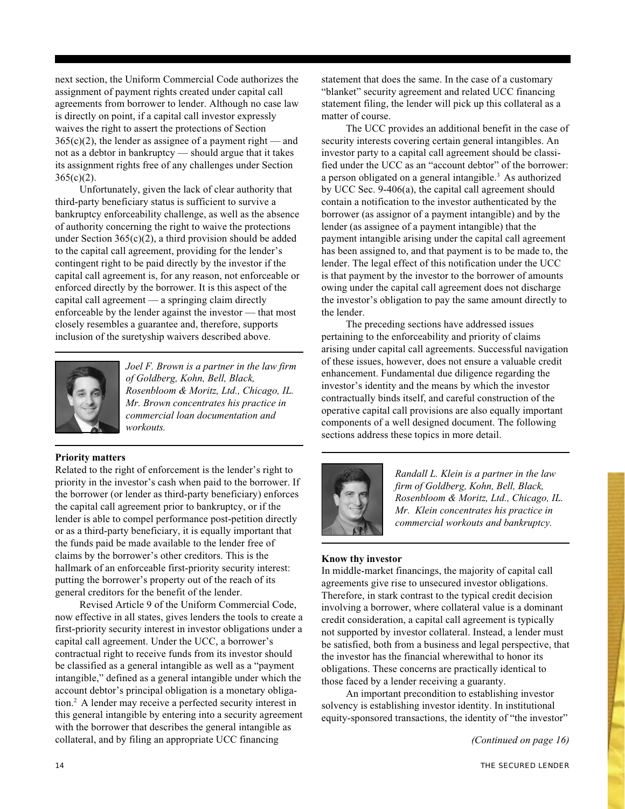next section, the Uniform Commercial Code authorizes the assignment of payment rights created under capital call agreements from borrower to lender. Although no case law is directly on point, if a capital call investor expressly waives the right to assert the protections of Section  $365(c)(2)$ , the lender as assignee of a payment right — and not as a debtor in bankruptcy — should argue that it takes its assignment rights free of any challenges under Section  $365(c)(2)$ .

Unfortunately, given the lack of clear authority that third-party beneficiary status is sufficient to survive a bankruptcy enforceability challenge, as well as the absence of authority concerning the right to waive the protections under Section  $365(c)(2)$ , a third provision should be added to the capital call agreement, providing for the lender's contingent right to be paid directly by the investor if the capital call agreement is, for any reason, not enforceable or enforced directly by the borrower. It is this aspect of the capital call agreement — a springing claim directly enforceable by the lender against the investor — that most closely resembles a guarantee and, therefore, supports inclusion of the suretyship waivers described above.



*Joel F. Brown is a partner in the law firm of Goldberg, Kohn, Bell, Black, Rosenbloom & Moritz, Ltd., Chicago, IL. Mr. Brown concentrates his practice in commercial loan documentation and workouts.*

## **Priority matters**

Related to the right of enforcement is the lender's right to priority in the investor's cash when paid to the borrower. If the borrower (or lender as third-party beneficiary) enforces the capital call agreement prior to bankruptcy, or if the lender is able to compel performance post-petition directly or as a third-party beneficiary, it is equally important that the funds paid be made available to the lender free of claims by the borrower's other creditors. This is the hallmark of an enforceable first-priority security interest: putting the borrower's property out of the reach of its general creditors for the benefit of the lender.

Revised Article 9 of the Uniform Commercial Code, now effective in all states, gives lenders the tools to create a first-priority security interest in investor obligations under a capital call agreement. Under the UCC, a borrower's contractual right to receive funds from its investor should be classified as a general intangible as well as a "payment intangible," defined as a general intangible under which the account debtor's principal obligation is a monetary obligation.2 A lender may receive a perfected security interest in this general intangible by entering into a security agreement with the borrower that describes the general intangible as collateral, and by filing an appropriate UCC financing

statement that does the same. In the case of a customary "blanket" security agreement and related UCC financing statement filing, the lender will pick up this collateral as a matter of course.

The UCC provides an additional benefit in the case of security interests covering certain general intangibles. An investor party to a capital call agreement should be classified under the UCC as an "account debtor" of the borrower: a person obligated on a general intangible.3 As authorized by UCC Sec. 9-406(a), the capital call agreement should contain a notification to the investor authenticated by the borrower (as assignor of a payment intangible) and by the lender (as assignee of a payment intangible) that the payment intangible arising under the capital call agreement has been assigned to, and that payment is to be made to, the lender. The legal effect of this notification under the UCC is that payment by the investor to the borrower of amounts owing under the capital call agreement does not discharge the investor's obligation to pay the same amount directly to the lender.

The preceding sections have addressed issues pertaining to the enforceability and priority of claims arising under capital call agreements. Successful navigation of these issues, however, does not ensure a valuable credit enhancement. Fundamental due diligence regarding the investor's identity and the means by which the investor contractually binds itself, and careful construction of the operative capital call provisions are also equally important components of a well designed document. The following sections address these topics in more detail.



*Randall L. Klein is a partner in the law firm of Goldberg, Kohn, Bell, Black, Rosenbloom & Moritz, Ltd., Chicago, IL. Mr. Klein concentrates his practice in commercial workouts and bankruptcy.*

# **Know thy investor**

In middle-market financings, the majority of capital call agreements give rise to unsecured investor obligations. Therefore, in stark contrast to the typical credit decision involving a borrower, where collateral value is a dominant credit consideration, a capital call agreement is typically not supported by investor collateral. Instead, a lender must be satisfied, both from a business and legal perspective, that the investor has the financial wherewithal to honor its obligations. These concerns are practically identical to those faced by a lender receiving a guaranty.

An important precondition to establishing investor solvency is establishing investor identity. In institutional equity-sponsored transactions, the identity of "the investor"

*(Continued on page 16)*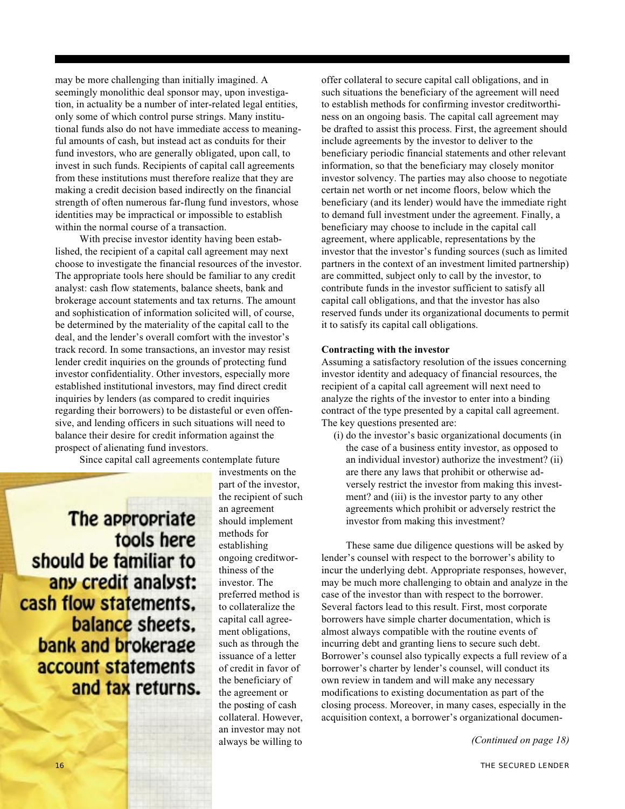may be more challenging than initially imagined. A seemingly monolithic deal sponsor may, upon investigation, in actuality be a number of inter-related legal entities, only some of which control purse strings. Many institutional funds also do not have immediate access to meaningful amounts of cash, but instead act as conduits for their fund investors, who are generally obligated, upon call, to invest in such funds. Recipients of capital call agreements from these institutions must therefore realize that they are making a credit decision based indirectly on the financial strength of often numerous far-flung fund investors, whose identities may be impractical or impossible to establish within the normal course of a transaction.

With precise investor identity having been established, the recipient of a capital call agreement may next choose to investigate the financial resources of the investor. The appropriate tools here should be familiar to any credit analyst: cash flow statements, balance sheets, bank and brokerage account statements and tax returns. The amount and sophistication of information solicited will, of course, be determined by the materiality of the capital call to the deal, and the lender's overall comfort with the investor's track record. In some transactions, an investor may resist lender credit inquiries on the grounds of protecting fund investor confidentiality. Other investors, especially more established institutional investors, may find direct credit inquiries by lenders (as compared to credit inquiries regarding their borrowers) to be distasteful or even offensive, and lending officers in such situations will need to balance their desire for credit information against the prospect of alienating fund investors.

Since capital call agreements contemplate future

The appropriate tools here should be familiar to any credit analyst: cash flow statements, balance sheets. bank and brokerage account statements and tax returns. investments on the part of the investor, the recipient of such an agreement should implement methods for establishing ongoing creditworthiness of the investor. The preferred method is to collateralize the capital call agreement obligations, such as through the issuance of a letter of credit in favor of the beneficiary of the agreement or the posting of cash collateral. However, an investor may not always be willing to offer collateral to secure capital call obligations, and in such situations the beneficiary of the agreement will need to establish methods for confirming investor creditworthiness on an ongoing basis. The capital call agreement may be drafted to assist this process. First, the agreement should include agreements by the investor to deliver to the beneficiary periodic financial statements and other relevant information, so that the beneficiary may closely monitor investor solvency. The parties may also choose to negotiate certain net worth or net income floors, below which the beneficiary (and its lender) would have the immediate right to demand full investment under the agreement. Finally, a beneficiary may choose to include in the capital call agreement, where applicable, representations by the investor that the investor's funding sources (such as limited partners in the context of an investment limited partnership) are committed, subject only to call by the investor, to contribute funds in the investor sufficient to satisfy all capital call obligations, and that the investor has also reserved funds under its organizational documents to permit it to satisfy its capital call obligations.

#### **Contracting with the investor**

Assuming a satisfactory resolution of the issues concerning investor identity and adequacy of financial resources, the recipient of a capital call agreement will next need to analyze the rights of the investor to enter into a binding contract of the type presented by a capital call agreement. The key questions presented are:

(i) do the investor's basic organizational documents (in the case of a business entity investor, as opposed to an individual investor) authorize the investment? (ii) are there any laws that prohibit or otherwise adversely restrict the investor from making this investment? and (iii) is the investor party to any other agreements which prohibit or adversely restrict the investor from making this investment?

These same due diligence questions will be asked by lender's counsel with respect to the borrower's ability to incur the underlying debt. Appropriate responses, however, may be much more challenging to obtain and analyze in the case of the investor than with respect to the borrower. Several factors lead to this result. First, most corporate borrowers have simple charter documentation, which is almost always compatible with the routine events of incurring debt and granting liens to secure such debt. Borrower's counsel also typically expects a full review of a borrower's charter by lender's counsel, will conduct its own review in tandem and will make any necessary modifications to existing documentation as part of the closing process. Moreover, in many cases, especially in the acquisition context, a borrower's organizational documen-

*(Continued on page 18)*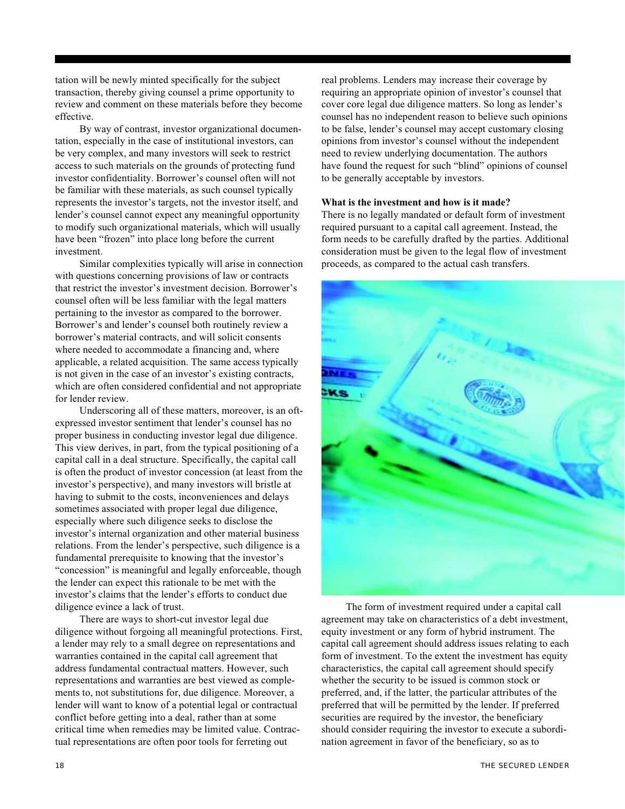tation will be newly minted specifically for the subject transaction, thereby giving counsel a prime opportunity to review and comment on these materials before they become effective.

By way of contrast, investor organizational documentation, especially in the case of institutional investors, can be very complex, and many investors will seek to restrict access to such materials on the grounds of protecting fund investor confidentiality. Borrower's counsel often will not be familiar with these materials, as such counsel typically represents the investor's targets, not the investor itself, and lender's counsel cannot expect any meaningful opportunity to modify such organizational materials, which will usually have been "frozen" into place long before the current investment.

Similar complexities typically will arise in connection with questions concerning provisions of law or contracts that restrict the investor's investment decision. Borrower's counsel often will be less familiar with the legal matters pertaining to the investor as compared to the borrower. Borrower's and lender's counsel both routinely review a borrower's material contracts, and will solicit consents where needed to accommodate a financing and, where applicable, a related acquisition. The same access typically is not given in the case of an investor's existing contracts, which are often considered confidential and not appropriate for lender review.

Underscoring all of these matters, moreover, is an oftexpressed investor sentiment that lender's counsel has no proper business in conducting investor legal due diligence. This view derives, in part, from the typical positioning of a capital call in a deal structure. Specifically, the capital call is often the product of investor concession (at least from the investor's perspective), and many investors will bristle at having to submit to the costs, inconveniences and delays sometimes associated with proper legal due diligence, especially where such diligence seeks to disclose the investor's internal organization and other material business relations. From the lender's perspective, such diligence is a fundamental prerequisite to knowing that the investor's "concession" is meaningful and legally enforceable, though the lender can expect this rationale to be met with the investor's claims that the lender's efforts to conduct due diligence evince a lack of trust.

There are ways to short-cut investor legal due diligence without forgoing all meaningful protections. First, a lender may rely to a small degree on representations and warranties contained in the capital call agreement that address fundamental contractual matters. However, such representations and warranties are best viewed as complements to, not substitutions for, due diligence. Moreover, a lender will want to know of a potential legal or contractual conflict before getting into a deal, rather than at some critical time when remedies may be limited value. Contractual representations are often poor tools for ferreting out

real problems. Lenders may increase their coverage by requiring an appropriate opinion of investor's counsel that cover core legal due diligence matters. So long as lender's counsel has no independent reason to believe such opinions to be false, lender's counsel may accept customary closing opinions from investor's counsel without the independent need to review underlying documentation. The authors have found the request for such "blind" opinions of counsel to be generally acceptable by investors.

## **What is the investment and how is it made?**

There is no legally mandated or default form of investment required pursuant to a capital call agreement. Instead, the form needs to be carefully drafted by the parties. Additional consideration must be given to the legal flow of investment proceeds, as compared to the actual cash transfers.



The form of investment required under a capital call agreement may take on characteristics of a debt investment, equity investment or any form of hybrid instrument. The capital call agreement should address issues relating to each form of investment. To the extent the investment has equity characteristics, the capital call agreement should specify whether the security to be issued is common stock or preferred, and, if the latter, the particular attributes of the preferred that will be permitted by the lender. If preferred securities are required by the investor, the beneficiary should consider requiring the investor to execute a subordination agreement in favor of the beneficiary, so as to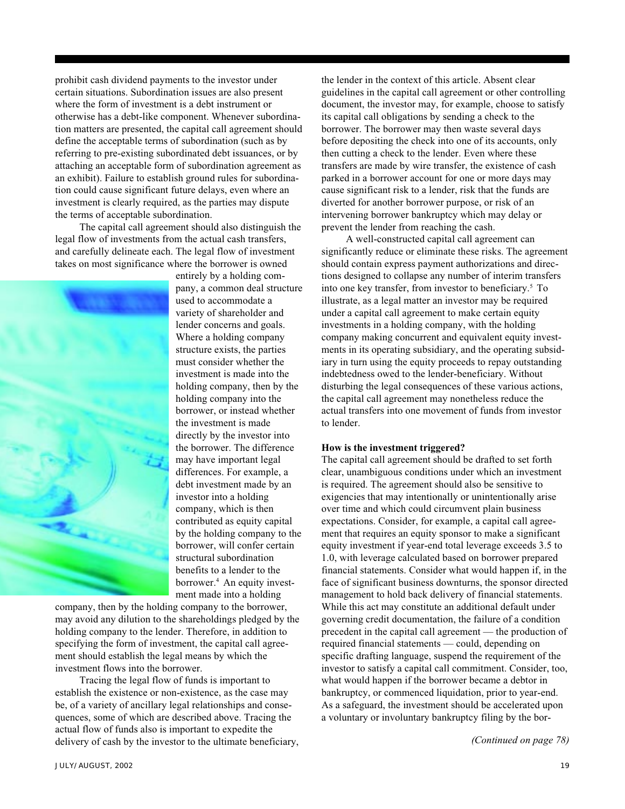prohibit cash dividend payments to the investor under certain situations. Subordination issues are also present where the form of investment is a debt instrument or otherwise has a debt-like component. Whenever subordination matters are presented, the capital call agreement should define the acceptable terms of subordination (such as by referring to pre-existing subordinated debt issuances, or by attaching an acceptable form of subordination agreement as an exhibit). Failure to establish ground rules for subordination could cause significant future delays, even where an investment is clearly required, as the parties may dispute the terms of acceptable subordination.

The capital call agreement should also distinguish the legal flow of investments from the actual cash transfers, and carefully delineate each. The legal flow of investment takes on most significance where the borrower is owned



entirely by a holding company, a common deal structure used to accommodate a variety of shareholder and lender concerns and goals. Where a holding company structure exists, the parties must consider whether the investment is made into the holding company, then by the holding company into the borrower, or instead whether the investment is made directly by the investor into the borrower. The difference may have important legal differences. For example, a debt investment made by an investor into a holding company, which is then contributed as equity capital by the holding company to the borrower, will confer certain structural subordination benefits to a lender to the borrower.4 An equity investment made into a holding

company, then by the holding company to the borrower, may avoid any dilution to the shareholdings pledged by the holding company to the lender. Therefore, in addition to specifying the form of investment, the capital call agreement should establish the legal means by which the investment flows into the borrower.

Tracing the legal flow of funds is important to establish the existence or non-existence, as the case may be, of a variety of ancillary legal relationships and consequences, some of which are described above. Tracing the actual flow of funds also is important to expedite the delivery of cash by the investor to the ultimate beneficiary, *(Continued on page 78)*

the lender in the context of this article. Absent clear guidelines in the capital call agreement or other controlling document, the investor may, for example, choose to satisfy its capital call obligations by sending a check to the borrower. The borrower may then waste several days before depositing the check into one of its accounts, only then cutting a check to the lender. Even where these transfers are made by wire transfer, the existence of cash parked in a borrower account for one or more days may cause significant risk to a lender, risk that the funds are diverted for another borrower purpose, or risk of an intervening borrower bankruptcy which may delay or prevent the lender from reaching the cash.

A well-constructed capital call agreement can significantly reduce or eliminate these risks. The agreement should contain express payment authorizations and directions designed to collapse any number of interim transfers into one key transfer, from investor to beneficiary.5 To illustrate, as a legal matter an investor may be required under a capital call agreement to make certain equity investments in a holding company, with the holding company making concurrent and equivalent equity investments in its operating subsidiary, and the operating subsidiary in turn using the equity proceeds to repay outstanding indebtedness owed to the lender-beneficiary. Without disturbing the legal consequences of these various actions, the capital call agreement may nonetheless reduce the actual transfers into one movement of funds from investor to lender.

# **How is the investment triggered?**

The capital call agreement should be drafted to set forth clear, unambiguous conditions under which an investment is required. The agreement should also be sensitive to exigencies that may intentionally or unintentionally arise over time and which could circumvent plain business expectations. Consider, for example, a capital call agreement that requires an equity sponsor to make a significant equity investment if year-end total leverage exceeds 3.5 to 1.0, with leverage calculated based on borrower prepared financial statements. Consider what would happen if, in the face of significant business downturns, the sponsor directed management to hold back delivery of financial statements. While this act may constitute an additional default under governing credit documentation, the failure of a condition precedent in the capital call agreement — the production of required financial statements — could, depending on specific drafting language, suspend the requirement of the investor to satisfy a capital call commitment. Consider, too, what would happen if the borrower became a debtor in bankruptcy, or commenced liquidation, prior to year-end. As a safeguard, the investment should be accelerated upon a voluntary or involuntary bankruptcy filing by the bor-